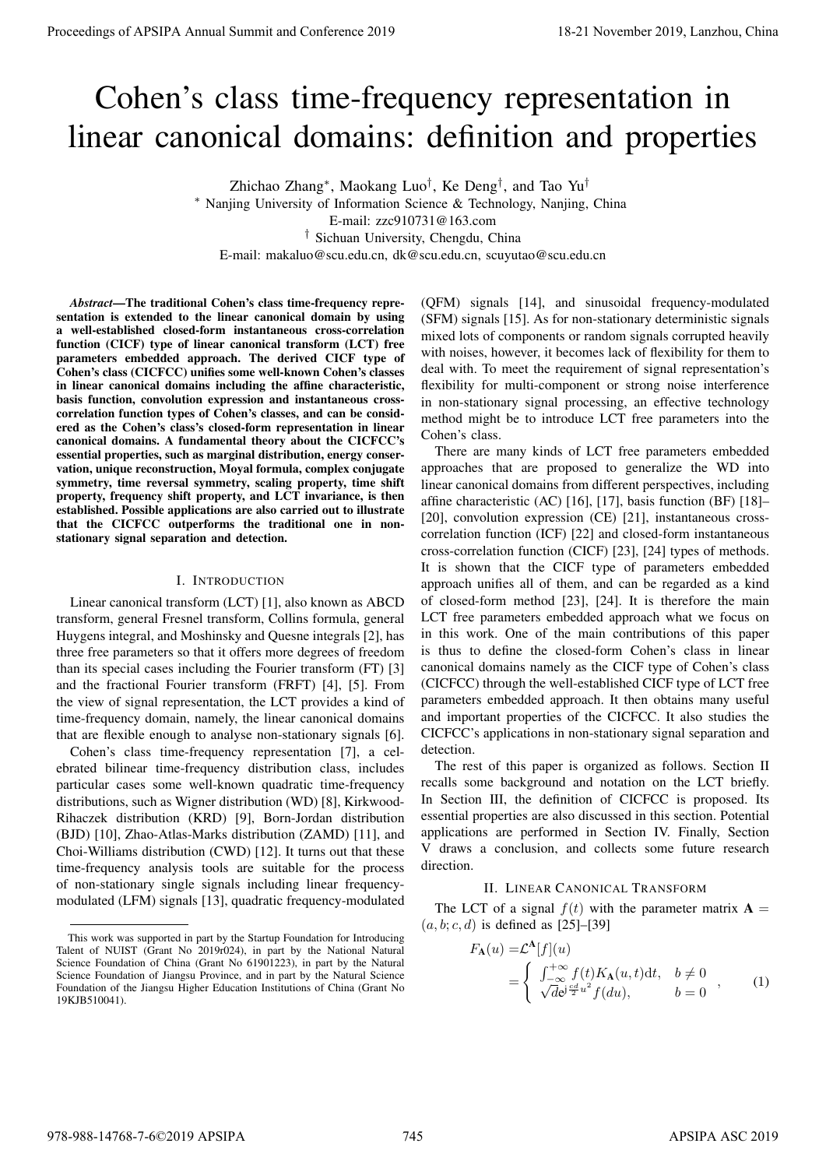# Cohen's class time-frequency representation in linear canonical domains: definition and properties

Zhichao Zhang<sup>∗</sup> , Maokang Luo† , Ke Deng† , and Tao Yu†

<sup>∗</sup> Nanjing University of Information Science & Technology, Nanjing, China

E-mail: zzc910731@163.com

† Sichuan University, Chengdu, China

E-mail: makaluo@scu.edu.cn, dk@scu.edu.cn, scuyutao@scu.edu.cn

*Abstract*—The traditional Cohen's class time-frequency representation is extended to the linear canonical domain by using a well-established closed-form instantaneous cross-correlation function (CICF) type of linear canonical transform (LCT) free parameters embedded approach. The derived CICF type of Cohen's class (CICFCC) unifies some well-known Cohen's classes in linear canonical domains including the affine characteristic, basis function, convolution expression and instantaneous crosscorrelation function types of Cohen's classes, and can be considered as the Cohen's class's closed-form representation in linear canonical domains. A fundamental theory about the CICFCC's essential properties, such as marginal distribution, energy conservation, unique reconstruction, Moyal formula, complex conjugate symmetry, time reversal symmetry, scaling property, time shift property, frequency shift property, and LCT invariance, is then established. Possible applications are also carried out to illustrate that the CICFCC outperforms the traditional one in nonstationary signal separation and detection.

## I. INTRODUCTION

Linear canonical transform (LCT) [1], also known as ABCD transform, general Fresnel transform, Collins formula, general Huygens integral, and Moshinsky and Quesne integrals [2], has three free parameters so that it offers more degrees of freedom than its special cases including the Fourier transform (FT) [3] and the fractional Fourier transform (FRFT) [4], [5]. From the view of signal representation, the LCT provides a kind of time-frequency domain, namely, the linear canonical domains that are flexible enough to analyse non-stationary signals [6].

Cohen's class time-frequency representation [7], a celebrated bilinear time-frequency distribution class, includes particular cases some well-known quadratic time-frequency distributions, such as Wigner distribution (WD) [8], Kirkwood-Rihaczek distribution (KRD) [9], Born-Jordan distribution (BJD) [10], Zhao-Atlas-Marks distribution (ZAMD) [11], and Choi-Williams distribution (CWD) [12]. It turns out that these time-frequency analysis tools are suitable for the process of non-stationary single signals including linear frequencymodulated (LFM) signals [13], quadratic frequency-modulated

(QFM) signals [14], and sinusoidal frequency-modulated (SFM) signals [15]. As for non-stationary deterministic signals mixed lots of components or random signals corrupted heavily with noises, however, it becomes lack of flexibility for them to deal with. To meet the requirement of signal representation's flexibility for multi-component or strong noise interference in non-stationary signal processing, an effective technology method might be to introduce LCT free parameters into the Cohen's class.

There are many kinds of LCT free parameters embedded approaches that are proposed to generalize the WD into linear canonical domains from different perspectives, including affine characteristic (AC) [16], [17], basis function (BF) [18]– [20], convolution expression (CE) [21], instantaneous crosscorrelation function (ICF) [22] and closed-form instantaneous cross-correlation function (CICF) [23], [24] types of methods. It is shown that the CICF type of parameters embedded approach unifies all of them, and can be regarded as a kind of closed-form method [23], [24]. It is therefore the main LCT free parameters embedded approach what we focus on in this work. One of the main contributions of this paper is thus to define the closed-form Cohen's class in linear canonical domains namely as the CICF type of Cohen's class (CICFCC) through the well-established CICF type of LCT free parameters embedded approach. It then obtains many useful and important properties of the CICFCC. It also studies the CICFCC's applications in non-stationary signal separation and detection. **Proceedings of APSIPA Annual Summit and Conference 2019**<br> **Cole not**  $\mathbf{S}$  **Class time-frequency representation in Conference 2019**<br> **Conference 2019, Apsor and Conference 2019**<br> **Conference 2019**<br> **Conference 2019**<br>

The rest of this paper is organized as follows. Section II recalls some background and notation on the LCT briefly. In Section III, the definition of CICFCC is proposed. Its essential properties are also discussed in this section. Potential applications are performed in Section IV. Finally, Section V draws a conclusion, and collects some future research direction.

# II. LINEAR CANONICAL TRANSFORM

The LCT of a signal  $f(t)$  with the parameter matrix  $A =$  $(a, b; c, d)$  is defined as [25]–[39]

$$
F_{\mathbf{A}}(u) = \mathcal{L}^{\mathbf{A}}[f](u)
$$
  
= 
$$
\begin{cases} \int_{-\infty}^{+\infty} f(t)K_{\mathbf{A}}(u,t)dt, & b \neq 0 \\ \sqrt{d}e^{j\frac{cd}{2}u^{2}}f(du), & b = 0 \end{cases}
$$
, (1)

This work was supported in part by the Startup Foundation for Introducing Talent of NUIST (Grant No 2019r024), in part by the National Natural Science Foundation of China (Grant No 61901223), in part by the Natural Science Foundation of Jiangsu Province, and in part by the Natural Science Foundation of the Jiangsu Higher Education Institutions of China (Grant No 19KJB510041).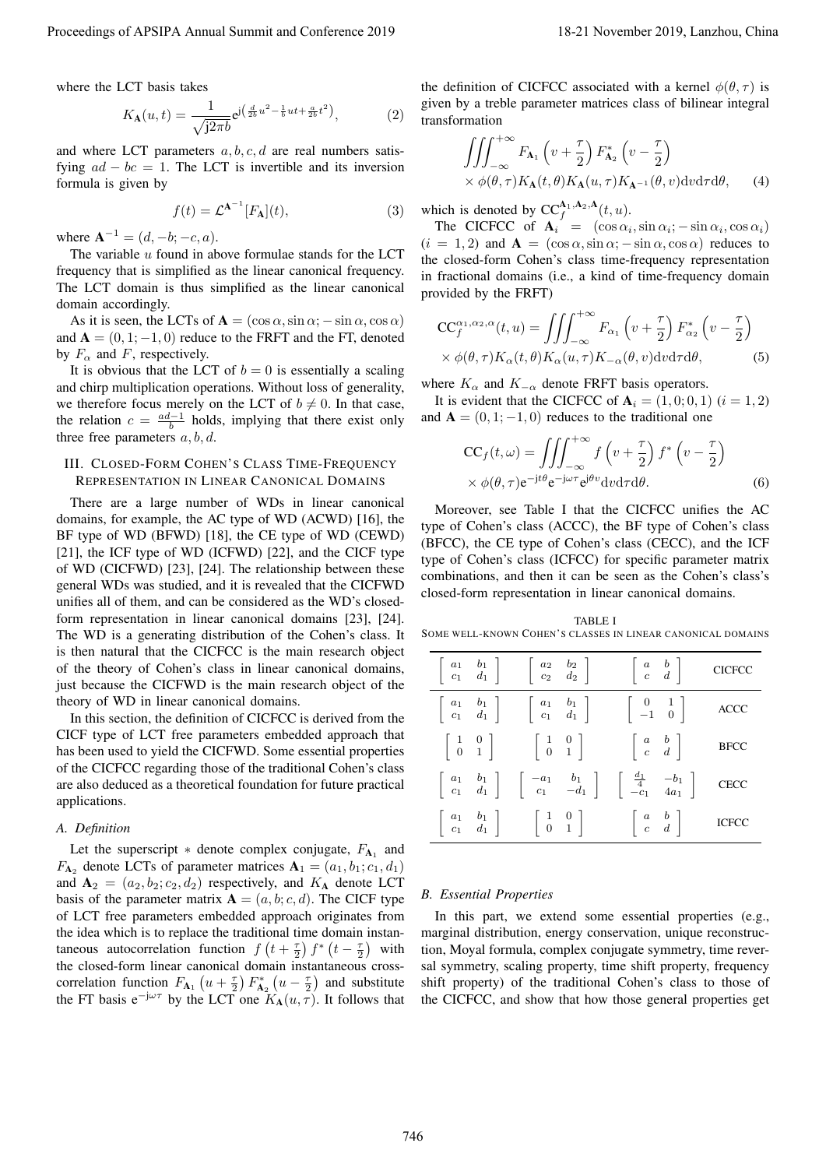where the LCT basis takes

$$
K_{\mathbf{A}}(u,t) = \frac{1}{\sqrt{j2\pi b}} e^{j\left(\frac{d}{2b}u^2 - \frac{1}{b}ut + \frac{a}{2b}t^2\right)},\tag{2}
$$

and where LCT parameters  $a, b, c, d$  are real numbers satisfying  $ad - bc = 1$ . The LCT is invertible and its inversion formula is given by

$$
f(t) = \mathcal{L}^{\mathbf{A}^{-1}}[F_{\mathbf{A}}](t),\tag{3}
$$

where  $A^{-1} = (d, -b; -c, a)$ .

The variable  $u$  found in above formulae stands for the LCT frequency that is simplified as the linear canonical frequency. The LCT domain is thus simplified as the linear canonical domain accordingly.

As it is seen, the LCTs of  $\mathbf{A} = (\cos \alpha, \sin \alpha; -\sin \alpha, \cos \alpha)$ and  $A = (0, 1, -1, 0)$  reduce to the FRFT and the FT, denoted by  $F_{\alpha}$  and F, respectively.

It is obvious that the LCT of  $b = 0$  is essentially a scaling and chirp multiplication operations. Without loss of generality, we therefore focus merely on the LCT of  $b \neq 0$ . In that case, the relation  $c = \frac{ad-1}{b}$  holds, implying that there exist only three free parameters  $a, b, d$ .

# III. CLOSED-FORM COHEN'S CLASS TIME-FREQUENCY REPRESENTATION IN LINEAR CANONICAL DOMAINS

There are a large number of WDs in linear canonical domains, for example, the AC type of WD (ACWD) [16], the BF type of WD (BFWD) [18], the CE type of WD (CEWD) [21], the ICF type of WD (ICFWD) [22], and the CICF type of WD (CICFWD) [23], [24]. The relationship between these general WDs was studied, and it is revealed that the CICFWD unifies all of them, and can be considered as the WD's closedform representation in linear canonical domains [23], [24]. The WD is a generating distribution of the Cohen's class. It is then natural that the CICFCC is the main research object of the theory of Cohen's class in linear canonical domains, just because the CICFWD is the main research object of the theory of WD in linear canonical domains. Proceedings of APSIPA Annual Summit and Conference 2019<br>
Let the internal conference 2019 in the conference 2019 in the conference 2019 in the conference 2019 in the conference 2019 in the conference 2019, i.e. i.e. i.e.

In this section, the definition of CICFCC is derived from the CICF type of LCT free parameters embedded approach that has been used to yield the CICFWD. Some essential properties of the CICFCC regarding those of the traditional Cohen's class are also deduced as a theoretical foundation for future practical applications.

# *A. Definition*

Let the superscript  $*$  denote complex conjugate,  $F_{A_1}$  and  $F_{A_2}$  denote LCTs of parameter matrices  $A_1 = (a_1, b_1; c_1, d_1)$ and  $A_2 = (a_2, b_2; c_2, d_2)$  respectively, and  $K_A$  denote LCT basis of the parameter matrix  $\mathbf{A} = (a, b; c, d)$ . The CICF type of LCT free parameters embedded approach originates from the idea which is to replace the traditional time domain instantaneous autocorrelation function  $f(t+\frac{\tau}{2}) f^*(t-\frac{\tau}{2})$  with the closed-form linear canonical domain instantaneous crosscorrelation function  $F_{A_1}(u + \frac{\tau}{2}) F_{A_2}^*(u - \frac{\tau}{2})$  and substitute the FT basis  $e^{-j\omega\tau}$  by the LCT one  $K_{\mathbf{A}}(u, \tau)$ . It follows that the definition of CICFCC associated with a kernel  $\phi(\theta, \tau)$  is given by a treble parameter matrices class of bilinear integral transformation

$$
\iiint_{-\infty}^{+\infty} F_{\mathbf{A}_1} \left( v + \frac{\tau}{2} \right) F_{\mathbf{A}_2}^* \left( v - \frac{\tau}{2} \right)
$$
  
 
$$
\times \phi(\theta, \tau) K_{\mathbf{A}}(t, \theta) K_{\mathbf{A}}(u, \tau) K_{\mathbf{A}^{-1}}(\theta, v) \mathrm{d}v \mathrm{d}\tau \mathrm{d}\theta, \qquad (4)
$$

which is denoted by  $CC_f^{A_1, A_2, A}(t, u)$ .

The CICFCC of  $A_i = (\cos \alpha_i, \sin \alpha_i; -\sin \alpha_i, \cos \alpha_i)$  $(i = 1, 2)$  and  $\mathbf{A} = (\cos \alpha, \sin \alpha; -\sin \alpha, \cos \alpha)$  reduces to the closed-form Cohen's class time-frequency representation in fractional domains (i.e., a kind of time-frequency domain provided by the FRFT)

$$
CC_f^{\alpha_1, \alpha_2, \alpha}(t, u) = \iiint_{-\infty}^{+\infty} F_{\alpha_1} \left( v + \frac{\tau}{2} \right) F_{\alpha_2}^* \left( v - \frac{\tau}{2} \right)
$$
  
 
$$
\times \phi(\theta, \tau) K_{\alpha}(t, \theta) K_{\alpha}(u, \tau) K_{-\alpha}(\theta, v) dv d\tau d\theta,
$$
 (5)

where  $K_{\alpha}$  and  $K_{-\alpha}$  denote FRFT basis operators.

It is evident that the CICFCC of  $A_i = (1, 0, 0, 1)$   $(i = 1, 2)$ and  $A = (0, 1, -1, 0)$  reduces to the traditional one

$$
CC_{f}(t,\omega) = \iiint_{-\infty}^{+\infty} f\left(v + \frac{\tau}{2}\right) f^{*}\left(v - \frac{\tau}{2}\right)
$$

$$
\times \phi(\theta,\tau) e^{-jt\theta} e^{-j\omega\tau} e^{j\theta v} dv d\tau d\theta.
$$
(6)

Moreover, see Table I that the CICFCC unifies the AC type of Cohen's class (ACCC), the BF type of Cohen's class (BFCC), the CE type of Cohen's class (CECC), and the ICF type of Cohen's class (ICFCC) for specific parameter matrix combinations, and then it can be seen as the Cohen's class's closed-form representation in linear canonical domains.

TABLE I SOME WELL-KNOWN COHEN'S CLASSES IN LINEAR CANONICAL DOMAINS

| $\begin{array}{ c c c } \hline a_1 & b_1 \ c_1 & d_1 \end{array}$  |                                                 | $\begin{array}{ c c } \hline a_2 & b_2 \ \hline c_2 & d_2 \end{array}$ | $\begin{array}{ c c c } \hline a & b & b \\ c & d & \hline \end{array}$                                                                                                             | <b>CICFCC</b> |
|--------------------------------------------------------------------|-------------------------------------------------|------------------------------------------------------------------------|-------------------------------------------------------------------------------------------------------------------------------------------------------------------------------------|---------------|
| $\left \begin{array}{cc} a_1 & b_1 \ c_1 & d_1 \end{array}\right $ |                                                 | $\begin{array}{ c c } \hline a_1 & b_1 \ c_1 & d_1 \end{array}$        | $\begin{array}{ c c c c c } \hline 0 & 1 & \cdots \\ -1 & 0 & \cdots \end{array}$                                                                                                   | <b>ACCC</b>   |
| $\begin{array}{ c c c c c } \hline 1 & 0 & \\ 0 & 1 & \end{array}$ | $\begin{array}{c c} 1 & 0 \\ 0 & 1 \end{array}$ |                                                                        | $\begin{array}{ c c c } \hline a & b & b \\ c & d & \hline \end{array}$                                                                                                             | <b>BFCC</b>   |
|                                                                    |                                                 |                                                                        | $\begin{bmatrix} a_1 & b_1 \\ c_1 & d_1 \end{bmatrix}$ $\begin{bmatrix} -a_1 & b_1 \\ c_1 & -d_1 \end{bmatrix}$ $\begin{bmatrix} \frac{a_1}{4} & -b_1 \\ -c_1 & 4a_1 \end{bmatrix}$ | <b>CECC</b>   |
| $\left \begin{array}{cc} a_1 & b_1 \ c_1 & d_1 \end{array}\right $ | $\begin{array}{c c} 1 & 0 \\ 0 & 1 \end{array}$ |                                                                        | $\begin{array}{ c c c } \hline a & b & b \\ c & d & \hline \end{array}$                                                                                                             | <b>ICFCC</b>  |

## *B. Essential Properties*

In this part, we extend some essential properties (e.g., marginal distribution, energy conservation, unique reconstruction, Moyal formula, complex conjugate symmetry, time reversal symmetry, scaling property, time shift property, frequency shift property) of the traditional Cohen's class to those of the CICFCC, and show that how those general properties get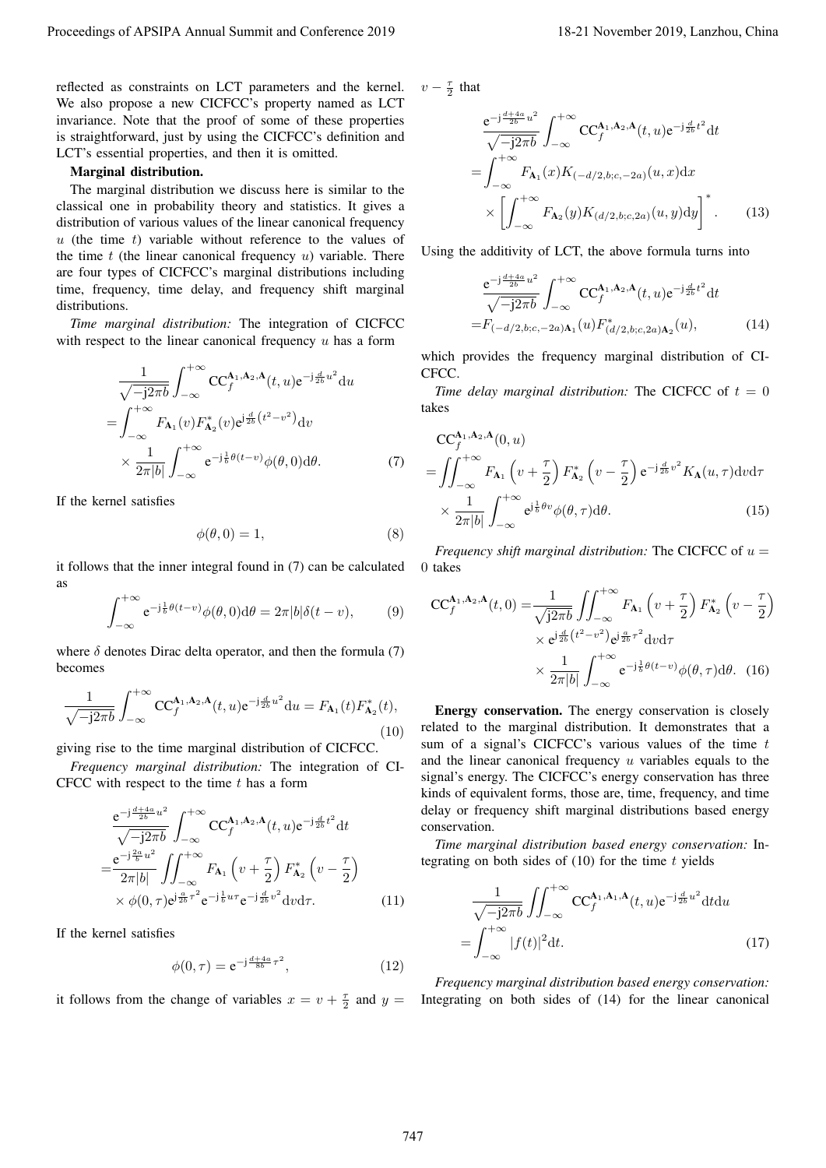reflected as constraints on LCT parameters and the kernel. We also propose a new CICFCC's property named as LCT invariance. Note that the proof of some of these properties is straightforward, just by using the CICFCC's definition and LCT's essential properties, and then it is omitted.

# Marginal distribution.

The marginal distribution we discuss here is similar to the classical one in probability theory and statistics. It gives a distribution of various values of the linear canonical frequency  $u$  (the time  $t$ ) variable without reference to the values of the time  $t$  (the linear canonical frequency  $u$ ) variable. There are four types of CICFCC's marginal distributions including time, frequency, time delay, and frequency shift marginal distributions. Proceedings of APSIPA Annual Summit and Conference 2019<br>
We also account of Conference 2019 18-21 November 2019 18-21 November 2019 18-21 November 2019 18-21 November 2019 18-21 November 2019 18-21 November 2019 18-21 Nov

*Time marginal distribution:* The integration of CICFCC with respect to the linear canonical frequency  $u$  has a form

$$
\frac{1}{\sqrt{-j2\pi b}} \int_{-\infty}^{+\infty} CC_f^{A_1, A_2, A}(t, u) e^{-j\frac{d}{2b}u^2} du
$$
  
= 
$$
\int_{-\infty}^{+\infty} F_{A_1}(v) F_{A_2}^*(v) e^{j\frac{d}{2b}(t^2 - v^2)} dv
$$
  

$$
\times \frac{1}{2\pi |b|} \int_{-\infty}^{+\infty} e^{-j\frac{1}{b}\theta(t - v)} \phi(\theta, 0) d\theta.
$$
 (7)

If the kernel satisfies

$$
\phi(\theta,0) = 1,\tag{8}
$$

it follows that the inner integral found in (7) can be calculated as

$$
\int_{-\infty}^{+\infty} e^{-j\frac{1}{b}\theta(t-v)} \phi(\theta,0) d\theta = 2\pi |b| \delta(t-v), \qquad (9)
$$

where  $\delta$  denotes Dirac delta operator, and then the formula (7) becomes

$$
\frac{1}{\sqrt{-j2\pi b}} \int_{-\infty}^{+\infty} CC_f^{A_1, A_2, A}(t, u) e^{-j\frac{d}{2b}u^2} du = F_{A_1}(t) F_{A_2}^*(t),
$$
\n(10)

giving rise to the time marginal distribution of CICFCC.

*Frequency marginal distribution:* The integration of CI-CFCC with respect to the time  $t$  has a form

$$
\frac{e^{-j\frac{d+4a}{2b}u^2}}{\sqrt{-j2\pi b}} \int_{-\infty}^{+\infty} CC_f^{A_1,A_2,A}(t,u) e^{-j\frac{d}{2b}t^2} dt \n= \frac{e^{-j\frac{2a}{b}u^2}}{2\pi |b|} \iint_{-\infty}^{+\infty} F_{A_1}\left(v + \frac{\tau}{2}\right) F_{A_2}^*\left(v - \frac{\tau}{2}\right) \n\times \phi(0,\tau) e^{j\frac{a}{2b}\tau^2} e^{-j\frac{1}{b}u\tau} e^{-j\frac{d}{2b}v^2} dv d\tau.
$$
\n(11)

If the kernel satisfies

$$
\phi(0,\tau) = e^{-j\frac{d+4a}{8b}\tau^2},\tag{12}
$$

 $v - \frac{\tau}{2}$  that

$$
\frac{e^{-j\frac{d+4a}{2b}u^2}}{\sqrt{-j2\pi b}} \int_{-\infty}^{+\infty} CC_f^{A_1,A_2,A}(t,u)e^{-j\frac{d}{2b}t^2} dt
$$
  
= 
$$
\int_{-\infty}^{+\infty} F_{A_1}(x)K_{(-d/2,b;c,-2a)}(u,x)dx
$$

$$
\times \left[ \int_{-\infty}^{+\infty} F_{A_2}(y)K_{(d/2,b;c,2a)}(u,y)dy \right]^*.
$$
 (13)

Using the additivity of LCT, the above formula turns into

$$
\frac{e^{-j\frac{d+4a}{2b}u^2}}{\sqrt{-j2\pi b}} \int_{-\infty}^{+\infty} CC_f^{A_1, A_2, A}(t, u) e^{-j\frac{d}{2b}t^2} dt
$$
  
=  $F_{(-d/2, b;c, -2a)A_1}(u) F_{(d/2, b;c, 2a)A_2}^*(u),$  (14)

which provides the frequency marginal distribution of CI-CFCC.

*Time delay marginal distribution:* The CICFCC of  $t = 0$ takes

$$
CC_f^{A_1, A_2, A}(0, u)
$$
  
= 
$$
\iint_{-\infty}^{+\infty} F_{A_1} \left( v + \frac{\tau}{2} \right) F_{A_2}^* \left( v - \frac{\tau}{2} \right) e^{-j\frac{d}{2b}v^2} K_A(u, \tau) dv d\tau
$$
  

$$
\times \frac{1}{2\pi |b|} \int_{-\infty}^{+\infty} e^{j\frac{1}{b} \theta v} \phi(\theta, \tau) d\theta.
$$
 (15)

*Frequency shift marginal distribution:* The CICFCC of  $u =$ 0 takes

$$
CC_f^{\mathbf{A}_1, \mathbf{A}_2, \mathbf{A}}(t, 0) = \frac{1}{\sqrt{j2\pi b}} \iint_{-\infty}^{+\infty} F_{\mathbf{A}_1} \left( v + \frac{\tau}{2} \right) F_{\mathbf{A}_2}^* \left( v - \frac{\tau}{2} \right)
$$

$$
\times e^{j\frac{d}{2b} \left( t^2 - v^2 \right)} e^{j\frac{c}{2b} \tau^2} dv d\tau
$$

$$
\times \frac{1}{2\pi |b|} \int_{-\infty}^{+\infty} e^{-j\frac{1}{b} \theta(t - v)} \phi(\theta, \tau) d\theta. \quad (16)
$$

Energy conservation. The energy conservation is closely related to the marginal distribution. It demonstrates that a sum of a signal's CICFCC's various values of the time  $t$ and the linear canonical frequency  $u$  variables equals to the signal's energy. The CICFCC's energy conservation has three kinds of equivalent forms, those are, time, frequency, and time delay or frequency shift marginal distributions based energy conservation.

*Time marginal distribution based energy conservation:* Integrating on both sides of  $(10)$  for the time t yields

$$
\frac{1}{\sqrt{-j2\pi b}} \iint_{-\infty}^{+\infty} CC_f^{A_1, A_1, A}(t, u) e^{-j\frac{d}{2b}u^2} dt du
$$

$$
= \int_{-\infty}^{+\infty} |f(t)|^2 dt. \tag{17}
$$

it follows from the change of variables  $x = v + \frac{\tau}{2}$  and  $y = \tau$  Integrating on both sides of (14) for the linear canonical *Frequency marginal distribution based energy conservation:*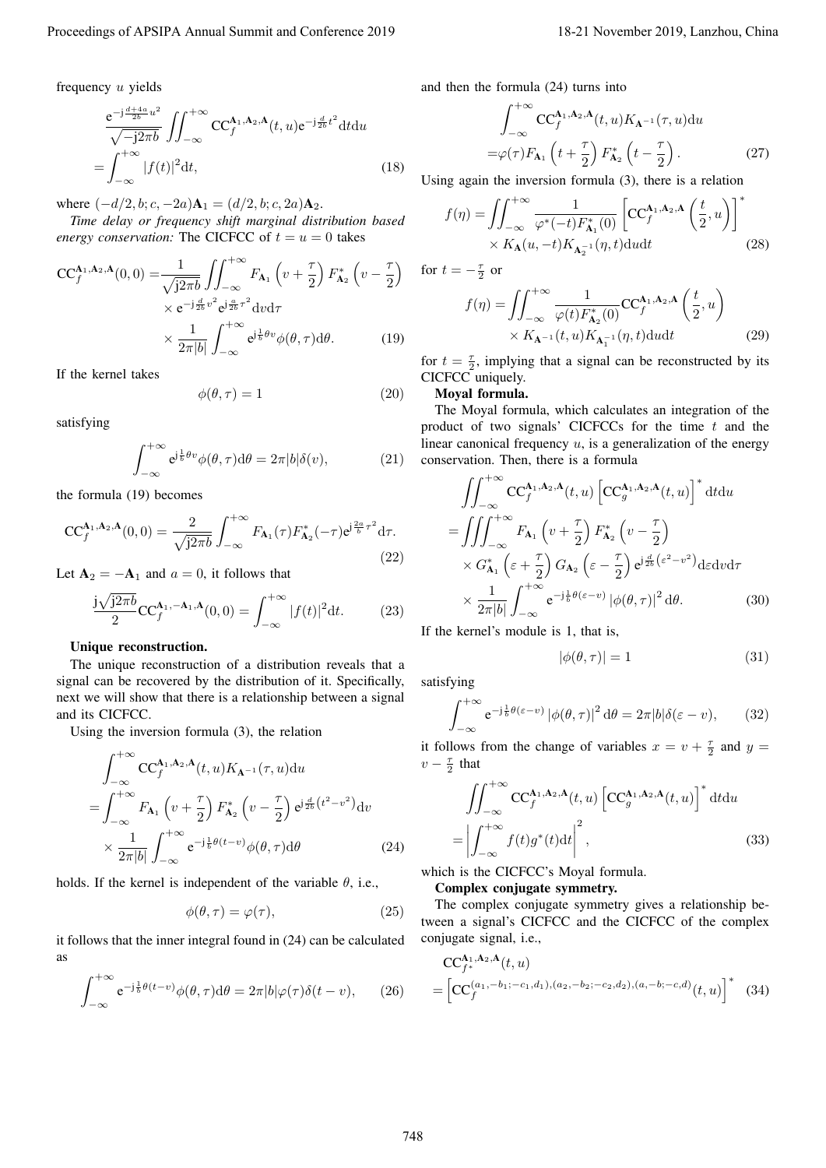frequency u yields

$$
\frac{e^{-j\frac{d+4a}{2b}u^2}}{\sqrt{-j2\pi b}} \iint_{-\infty}^{+\infty} CC_f^{A_1, A_2, A}(t, u) e^{-j\frac{d}{2b}t^2} dt du
$$

$$
= \int_{-\infty}^{+\infty} |f(t)|^2 dt,
$$
(18)

where  $(-d/2, b; c, -2a)$ **A**<sub>1</sub> =  $(d/2, b; c, 2a)$ **A**<sub>2</sub>.

*Time delay or frequency shift marginal distribution based energy conservation:* The CICFCC of  $t = u = 0$  takes

$$
CC_f^{\mathbf{A}_1, \mathbf{A}_2, \mathbf{A}}(0,0) = \frac{1}{\sqrt{j2\pi b}} \iint_{-\infty}^{+\infty} F_{\mathbf{A}_1} \left(v + \frac{\tau}{2}\right) F_{\mathbf{A}_2}^* \left(v - \frac{\tau}{2}\right)
$$

$$
\times e^{-j\frac{d}{2b}v^2} e^{j\frac{a}{2b}\tau^2} dv d\tau
$$

$$
\times \frac{1}{2\pi |b|} \int_{-\infty}^{+\infty} e^{j\frac{1}{b}\theta v} \phi(\theta, \tau) d\theta.
$$
(19)

If the kernel takes

$$
\phi(\theta, \tau) = 1 \tag{20}
$$

satisfying

$$
\int_{-\infty}^{+\infty} e^{j\frac{1}{b}\theta v} \phi(\theta, \tau) d\theta = 2\pi |b| \delta(v), \tag{21}
$$

the formula (19) becomes

$$
CC_f^{A_1, A_2, A}(0,0) = \frac{2}{\sqrt{j2\pi b}} \int_{-\infty}^{+\infty} F_{A_1}(\tau) F_{A_2}^*(-\tau) e^{j\frac{2a}{b}\tau^2} d\tau.
$$
\n(22)

Let  $A_2 = -A_1$  and  $a = 0$ , it follows that

$$
\frac{\mathbf{j}\sqrt{\mathbf{j}2\pi b}}{2}\mathbf{C}\mathbf{C}_{f}^{\mathbf{A}_{1},-\mathbf{A}_{1},\mathbf{A}}(0,0)=\int_{-\infty}^{+\infty}|f(t)|^{2}\mathrm{d}t.\tag{23}
$$

# Unique reconstruction.

The unique reconstruction of a distribution reveals that a signal can be recovered by the distribution of it. Specifically, next we will show that there is a relationship between a signal and its CICFCC.

Using the inversion formula (3), the relation

$$
\int_{-\infty}^{+\infty} CC_f^{A_1, A_2, A}(t, u) K_{A^{-1}}(\tau, u) du
$$
  
= 
$$
\int_{-\infty}^{+\infty} F_{A_1} \left( v + \frac{\tau}{2} \right) F_{A_2}^* \left( v - \frac{\tau}{2} \right) e^{j \frac{d}{2b} (t^2 - v^2)} dv
$$
  

$$
\times \frac{1}{2\pi |b|} \int_{-\infty}^{+\infty} e^{-j \frac{1}{b} \theta (t - v)} \phi(\theta, \tau) d\theta
$$
(24)

holds. If the kernel is independent of the variable  $\theta$ , i.e.,

$$
\phi(\theta, \tau) = \varphi(\tau),\tag{25}
$$

it follows that the inner integral found in (24) can be calculated as

$$
\int_{-\infty}^{+\infty} e^{-j\frac{1}{b}\theta(t-v)} \phi(\theta,\tau) d\theta = 2\pi |b| \varphi(\tau) \delta(t-v), \qquad (26)
$$

and then the formula (24) turns into

$$
\int_{-\infty}^{+\infty} CC_f^{A_1, A_2, A}(t, u) K_{A^{-1}}(\tau, u) du
$$
  
=  $\varphi(\tau) F_{A_1} \left( t + \frac{\tau}{2} \right) F_{A_2}^* \left( t - \frac{\tau}{2} \right).$  (27)

Using again the inversion formula (3), there is a relation

$$
f(\eta) = \iint_{-\infty}^{+\infty} \frac{1}{\varphi^*(-t)F_{\mathbf{A}_1}^*(0)} \left[ \mathbf{CC}_f^{\mathbf{A}_1, \mathbf{A}_2, \mathbf{A}}\left(\frac{t}{2}, u\right) \right]^* \times K_{\mathbf{A}}(u, -t)K_{\mathbf{A}_2^{-1}}(\eta, t) \mathrm{d}u \mathrm{d}t \tag{28}
$$

$$
= -\frac{\tau}{2} \text{ or}
$$
  

$$
f(\eta) = \iint_{-\infty}^{+\infty} \frac{1}{\varphi(t) F_{\mathbf{A}_2}^*(0)} \mathbf{C} \mathbf{C}_f^{\mathbf{A}_1, \mathbf{A}_2, \mathbf{A}} \left(\frac{t}{2}, u\right)
$$
  

$$
\times K_{\mathbf{A}^{-1}}(t, u) K_{\mathbf{A}_1^{-1}}(\eta, t) \text{d}u \text{d}t
$$
 (29)

for  $t = \frac{\tau}{2}$ , implying that a signal can be reconstructed by its CICFCC uniquely.

# Moyal formula.

for  $t$ 

The Moyal formula, which calculates an integration of the product of two signals' CICFCCs for the time  $t$  and the linear canonical frequency  $u$ , is a generalization of the energy conservation. Then, there is a formula

Proveating of APSIRA Annual Summitian U Conference 2019  
\nfrequency 
$$
y
$$
 yields  
\n
$$
\frac{e^{-\frac{1+6\pi}{6}}}{\sqrt{-12\pi b}} \int_{-\infty}^{+\infty} CC_1^{b_1,A_2,A}(t,y)e^{-\frac{1}{2}a^2t^2}dtdxdx
$$
\n
$$
\int_{-\infty}^{+\infty} C_2^{b_1,A_2,A}(t,y)e^{-\frac{1}{2}a^2t^2}dtdxdx
$$
\n
$$
= \int_{-\infty}^{+\infty} |f(t)|^2 \, \mathrm{d}t, \quad \text{(18)}
$$
\nUsing again the inversion formula (3), there is a relation  
\nwhere  $(a/2, b, c, 2a)$  and  $= (a/2, b, c, 2a)$  As  
\n
$$
T = \int_{-\infty}^{+\infty} |f(t)|^2 \, \mathrm{d}t, \quad \text{(19)}
$$
\n
$$
C C_1^{b_1,A_2,A}(0,0) = \frac{1}{\sqrt{2\pi b}} \int_{-\infty}^{+\infty} \frac{1}{\mathrm{d}t} \int_{-\infty}^{+\infty} \frac{1}{\mathrm{d}t} \int_{-\infty}^{+\infty} \frac{1}{\mathrm{d}t} \int_{-\infty}^{+\infty} \frac{1}{\mathrm{d}t} \int_{-\infty}^{+\infty} \frac{1}{\mathrm{d}t} \int_{-\infty}^{+\infty} \frac{1}{\mathrm{d}t} \int_{-\infty}^{+\infty} \frac{1}{\mathrm{d}t} \int_{-\infty}^{+\infty} \frac{1}{\mathrm{d}t} \int_{-\infty}^{+\infty} \frac{1}{\mathrm{d}t} \int_{-\infty}^{+\infty} \frac{1}{\mathrm{d}t} \int_{-\infty}^{+\infty} \frac{1}{\mathrm{d}t} \int_{-\infty}^{+\infty} \frac{1}{\mathrm{d}t} \int_{-\infty}^{+\infty} \frac{1}{\mathrm{d}t} \int_{-\infty}^{+\infty} \frac{1}{\mathrm{d}t} \int_{-\infty}^{+\infty} \frac{1}{\mathrm{d}t} \int_{-\infty}^{+\infty} \frac{1}{\mathrm{d}t} \int_{-\infty}^{+\infty} \frac{1}{\mathrm{d}t} \int_{-\in
$$

If the kernel's module is 1, that is,

$$
|\phi(\theta, \tau)| = 1 \tag{31}
$$

satisfying

$$
\int_{-\infty}^{+\infty} e^{-j\frac{1}{b}\theta(\varepsilon-v)} |\phi(\theta,\tau)|^2 d\theta = 2\pi |b|\delta(\varepsilon-v), \qquad (32)
$$

it follows from the change of variables  $x = v + \frac{\tau}{2}$  and  $y =$  $v - \frac{\tau}{2}$  that

$$
\iint_{-\infty}^{+\infty} CC_f^{A_1, A_2, A}(t, u) \left[ CC_g^{A_1, A_2, A}(t, u) \right]^* dt du
$$

$$
= \left| \int_{-\infty}^{+\infty} f(t) g^*(t) dt \right|^2, \tag{33}
$$

which is the CICFCC's Moyal formula.

# Complex conjugate symmetry.

The complex conjugate symmetry gives a relationship between a signal's CICFCC and the CICFCC of the complex conjugate signal, i.e.,

$$
CC_{f^*}^{\mathbf{A}_1, \mathbf{A}_2, \mathbf{A}}(t, u)
$$
  
=  $\left[CC_f^{(a_1, -b_1; -c_1, d_1), (a_2, -b_2; -c_2, d_2), (a, -b; -c, d)}(t, u)\right]^*$  (34)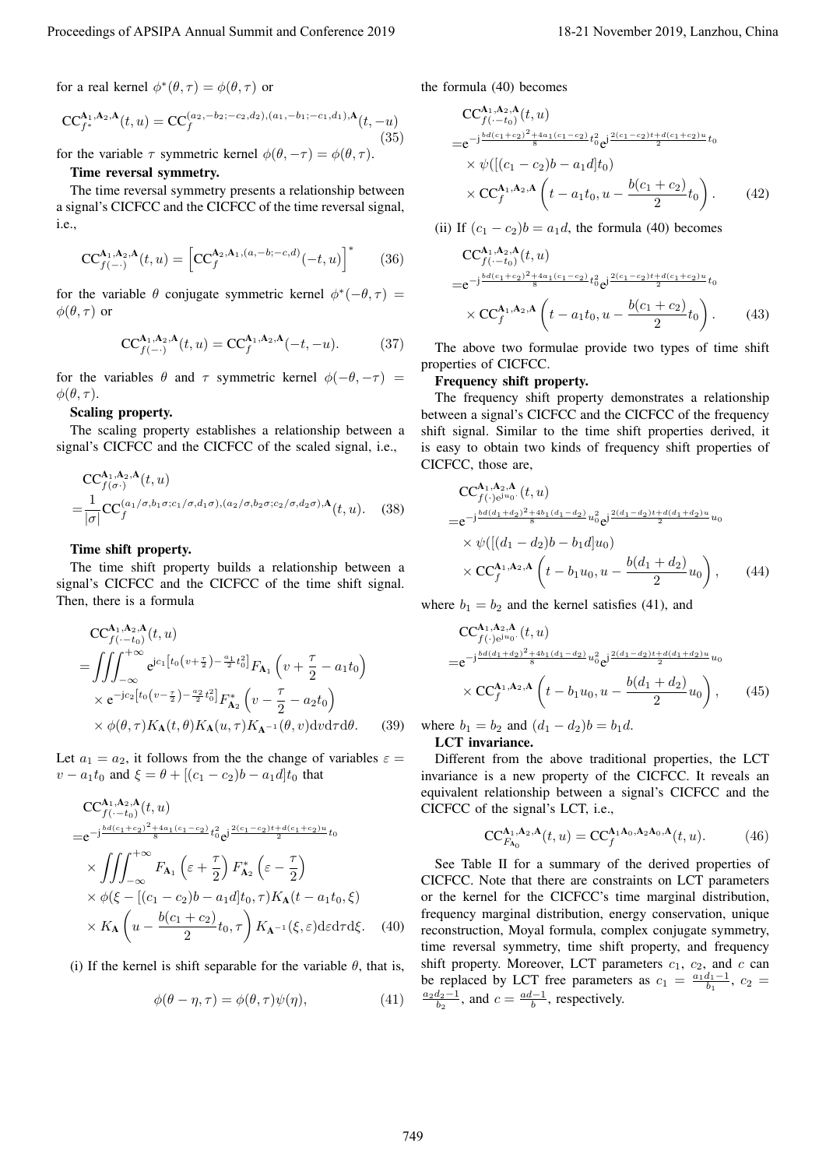for a real kernel  $\phi^*(\theta, \tau) = \phi(\theta, \tau)$  or

$$
CC_{f^*}^{A_1,A_2,A}(t,u) = CC_f^{(a_2,-b_2;-c_2,d_2),(a_1,-b_1;-c_1,d_1),A}(t,-u)
$$
\n(35)

for the variable  $\tau$  symmetric kernel  $\phi(\theta, -\tau) = \phi(\theta, \tau)$ .

# Time reversal symmetry.

The time reversal symmetry presents a relationship between a signal's CICFCC and the CICFCC of the time reversal signal, i.e.,

$$
CC_{f(-)}^{A_1, A_2, A}(t, u) = \left[CC_f^{A_2, A_1, (a, -b; -c, d)}(-t, u)\right]^*
$$
(36)

for the variable  $\theta$  conjugate symmetric kernel  $\phi^*(-\theta, \tau)$  =  $\phi(\theta, \tau)$  or

$$
CC_{f(-)}^{A_1,A_2,A}(t,u) = CC_f^{A_1,A_2,A}(-t,-u). \tag{37}
$$

for the variables  $\theta$  and  $\tau$  symmetric kernel  $\phi(-\theta, -\tau)$  =  $\phi(\theta, \tau)$ .

# Scaling property.

The scaling property establishes a relationship between a signal's CICFCC and the CICFCC of the scaled signal, i.e.,

$$
CC_{f(\sigma)}^{A_1, A_2, A}(t, u)
$$
  
= 
$$
\frac{1}{|\sigma|}CC_f^{(a_1/\sigma, b_1\sigma; c_1/\sigma, d_1\sigma), (a_2/\sigma, b_2\sigma; c_2/\sigma, d_2\sigma), A}(t, u).
$$
 (38)

## Time shift property.

The time shift property builds a relationship between a signal's CICFCC and the CICFCC of the time shift signal. Then, there is a formula

$$
CC_{f(-t_{0})}^{A_{1},A_{2},A}(t,u)
$$
\n
$$
= \iiint_{-\infty}^{+\infty} e^{ic_{1}[t_{0}(v+\frac{\tau}{2})-\frac{a_{1}}{2}t_{0}^{2}]} F_{A_{1}}(v+\frac{\tau}{2}-a_{1}t_{0})
$$
\n
$$
\times e^{-jc_{2}[t_{0}(v-\frac{\tau}{2})-\frac{a_{2}}{2}t_{0}^{2}]} F_{A_{2}}^{*}(v-\frac{\tau}{2}-a_{2}t_{0})
$$
\n
$$
\times \phi(\theta,\tau) K_{A}(t,\theta) K_{A}(u,\tau) K_{A^{-1}}(\theta,v) dv d\tau d\theta.
$$
\n(39)

Let  $a_1 = a_2$ , it follows from the the change of variables  $\varepsilon =$  $v - a_1t_0$  and  $\xi = \theta + [(c_1 - c_2)b - a_1d]t_0$  that

$$
\begin{split} &\text{CC}_{f(-t_0)}^{\mathbf{A}_1, \mathbf{A}_2, \mathbf{A}}(t, u) \\ &= \mathrm{e}^{-\mathrm{j}\frac{bd(c_1 + c_2)^2 + 4a_1(c_1 - c_2)}{8}t_0^2} \mathrm{e}^{\mathrm{j}\frac{2(c_1 - c_2)t + d(c_1 + c_2)u}{2}t_0} \\ &\times \iiint_{-\infty}^{+\infty} F_{\mathbf{A}_1} \left(\varepsilon + \frac{\tau}{2}\right) F_{\mathbf{A}_2}^* \left(\varepsilon - \frac{\tau}{2}\right) \\ &\times \phi(\xi - [(c_1 - c_2)b - a_1d]t_0, \tau) K_{\mathbf{A}}(t - a_1t_0, \xi) \\ &\times K_{\mathbf{A}} \left(u - \frac{b(c_1 + c_2)}{2}t_0, \tau\right) K_{\mathbf{A}^{-1}}(\xi, \varepsilon) \mathrm{d}\varepsilon \mathrm{d}\tau \mathrm{d}\xi. \end{split} \tag{40}
$$

(i) If the kernel is shift separable for the variable  $\theta$ , that is,

$$
\phi(\theta - \eta, \tau) = \phi(\theta, \tau)\psi(\eta), \tag{41}
$$

the formula (40) becomes

$$
CC_{f(-t_0)}^{A_1, A_2, A}(t, u)
$$
  
\n
$$
= e^{-j\frac{bd(c_1+c_2)^2 + 4a_1(c_1-c_2)}{8}t_0^2}e^{j\frac{2(c_1-c_2)t + d(c_1+c_2)u}{2}t_0}
$$
  
\n
$$
\times \psi([(c_1-c_2)b - a_1d]t_0)
$$
  
\n
$$
\times CC_f^{A_1, A_2, A}(t - a_1t_0, u - \frac{b(c_1+c_2)}{2}t_0).
$$
 (42)

(ii) If  $(c_1 - c_2)b = a_1d$ , the formula (40) becomes

$$
CC_{f(-t_0)}^{A_1, A_2, A}(t, u)
$$
  
= $e^{-j\frac{bd(c_1+c_2)^2+4a_1(c_1-c_2)}{8}t_0^2}e^{j\frac{2(c_1-c_2)t+d(c_1+c_2)u}{2}t_0}$   
 $\times CC_f^{A_1, A_2, A}\left(t-a_1t_0, u-\frac{b(c_1+c_2)}{2}t_0\right).$  (43)

The above two formulae provide two types of time shift properties of CICFCC.

# Frequency shift property.

The frequency shift property demonstrates a relationship between a signal's CICFCC and the CICFCC of the frequency shift signal. Similar to the time shift properties derived, it is easy to obtain two kinds of frequency shift properties of CICFCC, those are,

$$
\begin{split} &\mathbf{CC}_{f(\cdot)e^{ju_{0}}}^{A_{1},A_{2},A}(t,u) \\ = &e^{-j\frac{bd(d_{1}+d_{2})^{2}+4b_{1}(d_{1}-d_{2})}{8}u_{0}^{2}}e^{j\frac{2(d_{1}-d_{2})t+d(d_{1}+d_{2})u}{2}u_{0}} \\ &\times\psi([(d_{1}-d_{2})b-b_{1}d]u_{0}) \\ &\times\mathbf{CC}_{f}^{A_{1},A_{2},A}\left(t-b_{1}u_{0},u-\frac{b(d_{1}+d_{2})}{2}u_{0}\right),\end{split} \tag{44}
$$

where  $b_1 = b_2$  and the kernel satisfies (41), and

$$
CC_{f(\cdot)e^{j_{u_0}}(t,u)}^{A_1,A_2,A}(t,u)
$$
  
= $e^{-j\frac{bd(d_1+d_2)^2+4b_1(d_1-d_2)}{8}u_0^2}e^{j\frac{2(d_1-d_2)t+d(d_1+d_2)u}{2}u_0}$   
 $\times CC_f^{A_1,A_2,A}\left(t-b_1u_0,u-\frac{b(d_1+d_2)}{2}u_0\right),$  (45)

where  $b_1 = b_2$  and  $(d_1 - d_2)b = b_1d$ .

LCT invariance.

Different from the above traditional properties, the LCT invariance is a new property of the CICFCC. It reveals an equivalent relationship between a signal's CICFCC and the CICFCC of the signal's LCT, i.e.,

$$
CC_{F_{A_0}}^{A_1, A_2, A}(t, u) = CC_f^{A_1A_0, A_2A_0, A}(t, u).
$$
 (46)

See Table II for a summary of the derived properties of CICFCC. Note that there are constraints on LCT parameters or the kernel for the CICFCC's time marginal distribution, frequency marginal distribution, energy conservation, unique reconstruction, Moyal formula, complex conjugate symmetry, time reversal symmetry, time shift property, and frequency shift property. Moreover, LCT parameters  $c_1$ ,  $c_2$ , and  $c$  can be replaced by LCT free parameters as  $c_1 = \frac{a_1 d_1 - 1}{b_1}$ ,  $c_2 =$  $\frac{a_2 d_2 - 1}{b_2}$ , and  $c = \frac{ad - 1}{b}$ , respectively. Proceedings of APSIPA Annual Summit and China 2019 18-21 November 2019 18-21 November 2019, Landy Conference 2019, Language 2019, Language 2019, Language 2019, Language 2019, Language 2019, Language 2019, Language 2019, L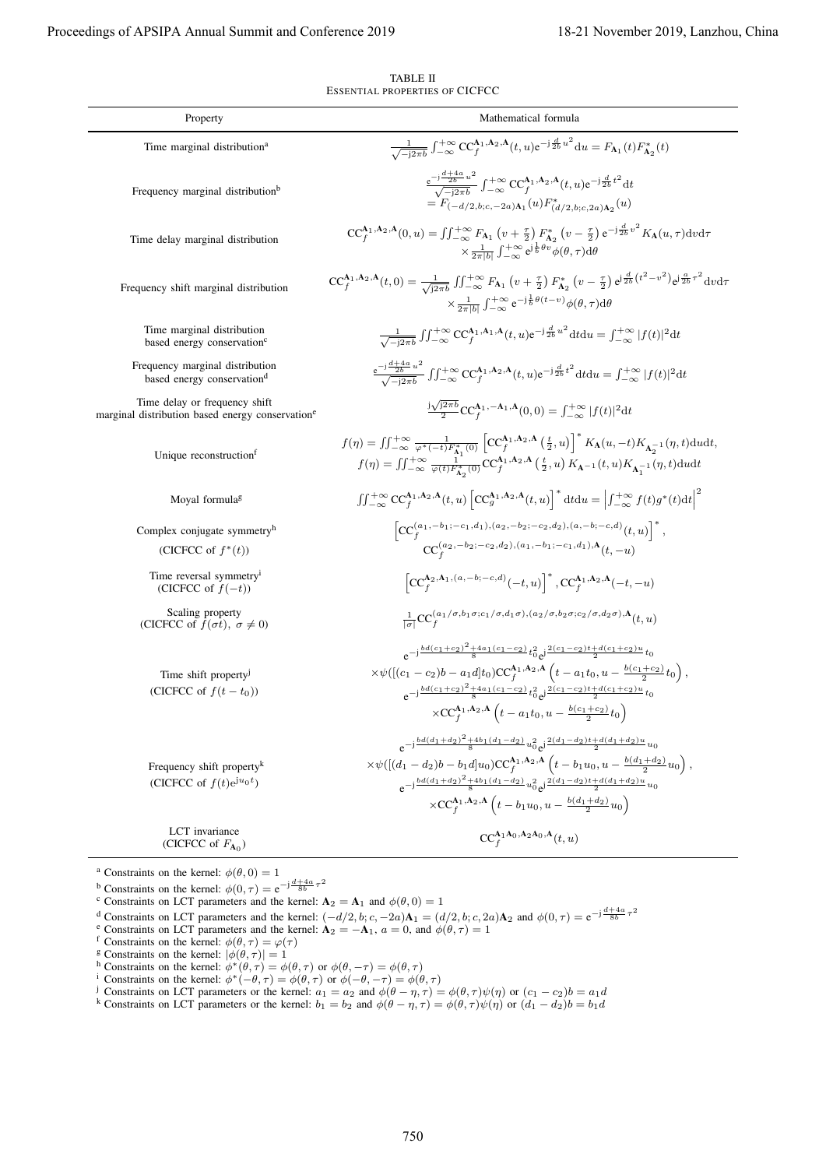TABLE II ESSENTIAL PROPERTIES OF CICFCC

| <b>ESSENTIAL PROPERTIES OF CICFCC</b>                                                                                                                                                                                                                                                                                                                                                                                                                                                                                                                                                                                                                                                                                                                                                                            |                                                                                                                                                                                                                                                                                                                                                                                                                                                                                                                                    |  |  |  |
|------------------------------------------------------------------------------------------------------------------------------------------------------------------------------------------------------------------------------------------------------------------------------------------------------------------------------------------------------------------------------------------------------------------------------------------------------------------------------------------------------------------------------------------------------------------------------------------------------------------------------------------------------------------------------------------------------------------------------------------------------------------------------------------------------------------|------------------------------------------------------------------------------------------------------------------------------------------------------------------------------------------------------------------------------------------------------------------------------------------------------------------------------------------------------------------------------------------------------------------------------------------------------------------------------------------------------------------------------------|--|--|--|
| Property                                                                                                                                                                                                                                                                                                                                                                                                                                                                                                                                                                                                                                                                                                                                                                                                         | Mathematical formula                                                                                                                                                                                                                                                                                                                                                                                                                                                                                                               |  |  |  |
| Time marginal distribution <sup>a</sup>                                                                                                                                                                                                                                                                                                                                                                                                                                                                                                                                                                                                                                                                                                                                                                          | $\frac{1}{\sqrt{-12\pi b}}\int_{-\infty}^{+\infty}CC^{A_1,A_2,A}_f(t,u)e^{-j\frac{d}{2b}u^2}du = F_{A_1}(t)F_{A_2}^*(t)$                                                                                                                                                                                                                                                                                                                                                                                                           |  |  |  |
| Frequency marginal distribution <sup>b</sup>                                                                                                                                                                                                                                                                                                                                                                                                                                                                                                                                                                                                                                                                                                                                                                     | $\frac{e^{-j\frac{a+a}{2b}u^2}}{\sqrt{-j^2\pi b}} \int_{-\infty}^{+\infty} CC_f^{A_1,A_2,A}(t,u)e^{-j\frac{d}{2b}t^2} dt$<br>$= F_{(-d/2,b;c,-2a)A_1}(u)F_{(d/2,b;c,2a)A_2}^*(u)$                                                                                                                                                                                                                                                                                                                                                  |  |  |  |
| Time delay marginal distribution                                                                                                                                                                                                                                                                                                                                                                                                                                                                                                                                                                                                                                                                                                                                                                                 | $CC_{f}^{A_1,A_2,A}(0,u) = \iint_{-\infty}^{+\infty} F_{A_1}(v+\frac{\tau}{2}) F_{A_2}^* (v-\frac{\tau}{2}) e^{-j\frac{d}{2b}v^2} K_A(u,\tau) dv d\tau$<br>$\times \frac{1}{2\pi  b } \int_{-\infty}^{+\infty} e^{j\frac{1}{b}\theta v} \phi(\theta, \tau) d\theta$                                                                                                                                                                                                                                                                |  |  |  |
| Frequency shift marginal distribution                                                                                                                                                                                                                                                                                                                                                                                                                                                                                                                                                                                                                                                                                                                                                                            | $CC_f^{A_1,A_2,A}(t,0)=\frac{1}{\sqrt{2\pi b}}\iint_{-\infty}^{+\infty}F_{A_1}\left(v+\frac{\tau}{2}\right)F_{A_2}^*\left(v-\frac{\tau}{2}\right)e^{j\frac{d}{2b}(t^2-v^2)}e^{j\frac{a}{2b}\tau^2}\mathrm{d}v\mathrm{d}\tau$<br>$\times \frac{1}{2\pi  b } \int_{-\infty}^{+\infty} e^{-j\frac{1}{b}\theta(t-v)} \phi(\theta, \tau) d\theta$                                                                                                                                                                                       |  |  |  |
| Time marginal distribution<br>based energy conservation <sup>c</sup>                                                                                                                                                                                                                                                                                                                                                                                                                                                                                                                                                                                                                                                                                                                                             | $\frac{1}{\sqrt{-i2\pi b}}\int_{-\infty}^{+\infty}CC_f^{A_1,A_1,A}(t,u)e^{-j\frac{d}{2b}u^2}\mathrm{d}t\mathrm{d}u=\int_{-\infty}^{+\infty} f(t) ^2\mathrm{d}t$                                                                                                                                                                                                                                                                                                                                                                    |  |  |  |
| Frequency marginal distribution<br>based energy conservation <sup>d</sup>                                                                                                                                                                                                                                                                                                                                                                                                                                                                                                                                                                                                                                                                                                                                        | $\frac{e^{-j\frac{d+4a}{2b}u^2}}{\sqrt{-i2\pi b}}\iint_{-\infty}^{+\infty}CC_f^{A_1,A_2,A}(t,u)e^{-j\frac{d}{2b}t^2}dtdu = \int_{-\infty}^{+\infty} f(t) ^2dt$                                                                                                                                                                                                                                                                                                                                                                     |  |  |  |
| Time delay or frequency shift<br>marginal distribution based energy conservation <sup>e</sup>                                                                                                                                                                                                                                                                                                                                                                                                                                                                                                                                                                                                                                                                                                                    | $\frac{\mathrm{i}\sqrt{\mathrm{i}^{2}\pi b}}{2}\mathrm{CC}_{f}^{\mathbf{A}_{1},-\mathbf{A}_{1},\mathbf{A}}(0,0)=\int_{-\infty}^{+\infty} f(t) ^{2}\mathrm{d}t$                                                                                                                                                                                                                                                                                                                                                                     |  |  |  |
| Unique reconstruction <sup>f</sup>                                                                                                                                                                                                                                                                                                                                                                                                                                                                                                                                                                                                                                                                                                                                                                               | $f(\eta) = \iint_{-\infty}^{+\infty} \frac{1}{\varphi^*(-t)F_{\Lambda_*}^*(0)} \left[CC_f^{\mathbf{A}_1,\mathbf{A}_2,\mathbf{A}}\left(\frac{t}{2},u\right)\right]^* K_{\mathbf{A}}(u,-t)K_{\mathbf{A}_2^{-1}}(\eta,t) \mathrm{d}u \mathrm{d}t,$<br>$f(\eta) = \iint_{-\infty}^{+\infty} \frac{1}{\varphi(t) F_{A_2}^*(0)} \mathbf{C} \mathbf{C}^{A_1,A_2,A}_f\left(\frac{t}{2},u\right) K_{A^{-1}}(t,u) K_{A_1^{-1}}(\eta,t) du dt$                                                                                                |  |  |  |
| Moyal formula <sup>g</sup>                                                                                                                                                                                                                                                                                                                                                                                                                                                                                                                                                                                                                                                                                                                                                                                       | $\int_{-\infty}^{+\infty} CC_f^{A_1,A_2,A}(t,u) \left[CC_g^{A_1,A_2,A}(t,u)\right]^* dt du = \left \int_{-\infty}^{+\infty} f(t)g^*(t)dt\right ^2$                                                                                                                                                                                                                                                                                                                                                                                 |  |  |  |
| Complex conjugate symmetry <sup>h</sup><br>(CICFCC of $f^*(t)$ )                                                                                                                                                                                                                                                                                                                                                                                                                                                                                                                                                                                                                                                                                                                                                 | $\left[\text{CC}_{f}^{(a_1,-b_1;-c_1,d_1),(a_2,-b_2;-c_2,d_2),(a,-b;-c,d)}(t,u)\right]^*,$<br>$CC_{f}^{(a_2,-b_2;-c_2,d_2),(a_1,-b_1;-c_1,d_1),A}(t,-u)$                                                                                                                                                                                                                                                                                                                                                                           |  |  |  |
| Time reversal symmetry <sup>i</sup><br>(CICFCC of $f(-t)$ )                                                                                                                                                                                                                                                                                                                                                                                                                                                                                                                                                                                                                                                                                                                                                      | $\left[\text{CC}_{f}^{\mathbf{A}_2, \mathbf{A}_1, (a,-b;-c,d)}(-t,u)\right]^*, \text{CC}_{f}^{\mathbf{A}_1, \mathbf{A}_2, \mathbf{A}}(-t,-u)$                                                                                                                                                                                                                                                                                                                                                                                      |  |  |  |
| Scaling property<br>(CICFCC of $f(\sigma t)$ , $\sigma \neq 0$ )                                                                                                                                                                                                                                                                                                                                                                                                                                                                                                                                                                                                                                                                                                                                                 | $\frac{1}{ \sigma }\text{CC}^{\left(a_1/\sigma, b_1\sigma; c_1/\sigma, d_1\sigma\right),\left(a_2/\sigma, b_2\sigma; c_2/\sigma, d_2\sigma\right),\mathbf{A}}_{\left(t, u\right)}$                                                                                                                                                                                                                                                                                                                                                 |  |  |  |
| Time shift property <sup>j</sup><br>(CICFCC of $f(t-t_0)$ )                                                                                                                                                                                                                                                                                                                                                                                                                                                                                                                                                                                                                                                                                                                                                      | $e^{-j\frac{bd(c_1+c_2)^2+4a_1(c_1-c_2)}{8}t_{0,\alpha}^2}$ $\frac{2(c_1-c_2)t+d(c_1+c_2)u}{2}t_0$<br>$\times \psi([(c_1-c_2)b-a_1d]t_0)CC_f^{A_1,A_2,A}\left(t-a_1t_0,u-\frac{b(c_1+c_2)}{2}t_0\right),$<br>$e^{-j\frac{bd(c_1+c_2)^2+4a_1(c_1-c_2)}{8}t_{0,\mathbf{c}}^2}$<br>$\times CC_f^{\mathbf{A}_1, \mathbf{A}_2, \mathbf{A}} \left( t - a_1 t_0, u - \frac{b(c_1 + c_2)}{2} t_0 \right)$                                                                                                                                  |  |  |  |
| Frequency shift property <sup>k</sup><br>(CICFCC of $f(t)e^{j u_0 t}$ )                                                                                                                                                                                                                                                                                                                                                                                                                                                                                                                                                                                                                                                                                                                                          | $\mathsf{a}^{-j} \frac{bd (d_1 + d_2)^2 + 4b_1 (d_1 - d_2)}{8} u_{0,\mathsf{e}}^2 \mathsf{d} \frac{2(d_1 - d_2)t + d(d_1 + d_2)u}{2} u_0$<br>$\times \psi([(d_1-d_2)b-b_1d]u_0)CC_f^{A_1,A_2,A}\left(t-b_1u_0,u-\frac{b(d_1+d_2)}{2}u_0\right),$<br>$e^{-j\frac{bd(d_1+d_2)^2+4b_1(d_1-d_2)}{8}u_{0}^2}$ $e^{j\frac{2(d_1-d_2)t+d(d_1+d_2)u}{2}u_0}$<br>$\times CC_f^{\mathbf{A}_1,\mathbf{A}_2,\mathbf{A}} \left( t - b_1 u_0, u - \frac{b(d_1+d_2)}{2} u_0 \right)$                                                              |  |  |  |
| LCT invariance<br>(CICFCC of $F_{A_0}$ )                                                                                                                                                                                                                                                                                                                                                                                                                                                                                                                                                                                                                                                                                                                                                                         | $CC_{f}^{A_1A_0,A_2A_0,A}(t,u)$                                                                                                                                                                                                                                                                                                                                                                                                                                                                                                    |  |  |  |
| <sup>a</sup> Constraints on the kernel: $\phi(\theta, 0) = 1$<br><sup>b</sup> Constraints on the kernel: $\phi(0, \tau) = e^{-j\frac{d+4a}{8b}\tau^2}$<br><sup>c</sup> Constraints on LCT parameters and the kernel: $A_2 = A_1$ and $\phi(\theta, 0) = 1$<br><sup>e</sup> Constraints on LCT parameters and the kernel: $A_2 = -A_1$ , $a = 0$ , and $\phi(\theta, \tau) = 1$<br><sup>f</sup> Constraints on the kernel: $\phi(\theta, \tau) = \varphi(\tau)$<br><sup>g</sup> Constraints on the kernel: $ \phi(\theta, \tau)  = 1$<br><sup>h</sup> Constraints on the kernel: $\phi^*(\theta, \tau) = \phi(\theta, \tau)$ or $\phi(\theta, -\tau) = \phi(\theta, \tau)$<br><sup>i</sup> Constraints on the kernel: $\phi^*(-\theta, \tau) = \phi(\theta, \tau)$ or $\phi(-\theta, -\tau) = \phi(\theta, \tau)$ | <sup>d</sup> Constraints on LCT parameters and the kernel: $(-d/2, b; c, -2a)$ <b>A</b> <sub>1</sub> = $(d/2, b; c, 2a)$ <b>A</b> <sub>2</sub> and $\phi(0, \tau) = e^{-j\frac{d+4a}{8b}\tau^2}$<br><sup>j</sup> Constraints on LCT parameters or the kernel: $a_1 = a_2$ and $\phi(\theta - \eta, \tau) = \phi(\theta, \tau)\psi(\eta)$ or $(c_1 - c_2)b = a_1d$<br><sup>k</sup> Constraints on LCT parameters or the kernel: $b_1 = b_2$ and $\phi(\theta - \eta, \tau) = \phi(\theta, \tau)\psi(\eta)$ or $(d_1 - d_2)b = b_1d$ |  |  |  |
|                                                                                                                                                                                                                                                                                                                                                                                                                                                                                                                                                                                                                                                                                                                                                                                                                  |                                                                                                                                                                                                                                                                                                                                                                                                                                                                                                                                    |  |  |  |

- Constraints on the kernel:  $\phi(\theta, 0) = 1$
- <sup>b</sup> Constraints on the kernel:  $\phi(0, \tau) = e^{-j\frac{d+4a}{8b}\tau^2}$
- <sup>c</sup> Constraints on LCT parameters and the kernel:  $A_2 = A_1$  and  $\phi(\theta, 0) = 1$
- <sup>d</sup> Constraints on LCT parameters and the kernel:  $(-d/2, b; c, -2a)$ **A**<sub>1</sub> =  $(d/2, b; c, 2a)$ **A**<sub>2</sub> and  $\phi(0, \tau) = e^{-j\frac{d+4a}{8b}\tau^2}$
- e Constraints on LCT parameters and the kernel:  $A_2 = -A_1$ ,  $a = 0$ , and  $\phi(\theta, \tau) = 1$
- f Constraints on the kernel:  $\phi(\theta, \tau) = \varphi(\tau)$
- <sup>g</sup> Constraints on the kernel:  $|\phi(\theta, \tau)| = 1$
- <sup>h</sup> Constraints on the kernel:  $\phi^*(\theta, \tau) = \phi(\theta, \tau)$  or  $\phi(\theta, -\tau) = \phi(\theta, \tau)$
- <sup>i</sup> Constraints on the kernel:  $\phi^*(-\theta, \tau) = \phi(\theta, \tau)$  or  $\phi(-\theta, -\tau) = \phi(\theta, \tau)$
- j Constraints on LCT parameters or the kernel:  $a_1 = a_2$  and  $\phi(\theta \eta, \tau) = \phi(\theta, \tau)\psi(\eta)$  or  $(c_1 c_2)b = a_1d$
- k Constraints on LCT parameters or the kernel:  $b_1 = b_2$  and  $\phi(\theta \eta, \tau) = \phi(\theta, \tau)\psi(\eta)$  or  $(d_1 d_2)b = b_1d$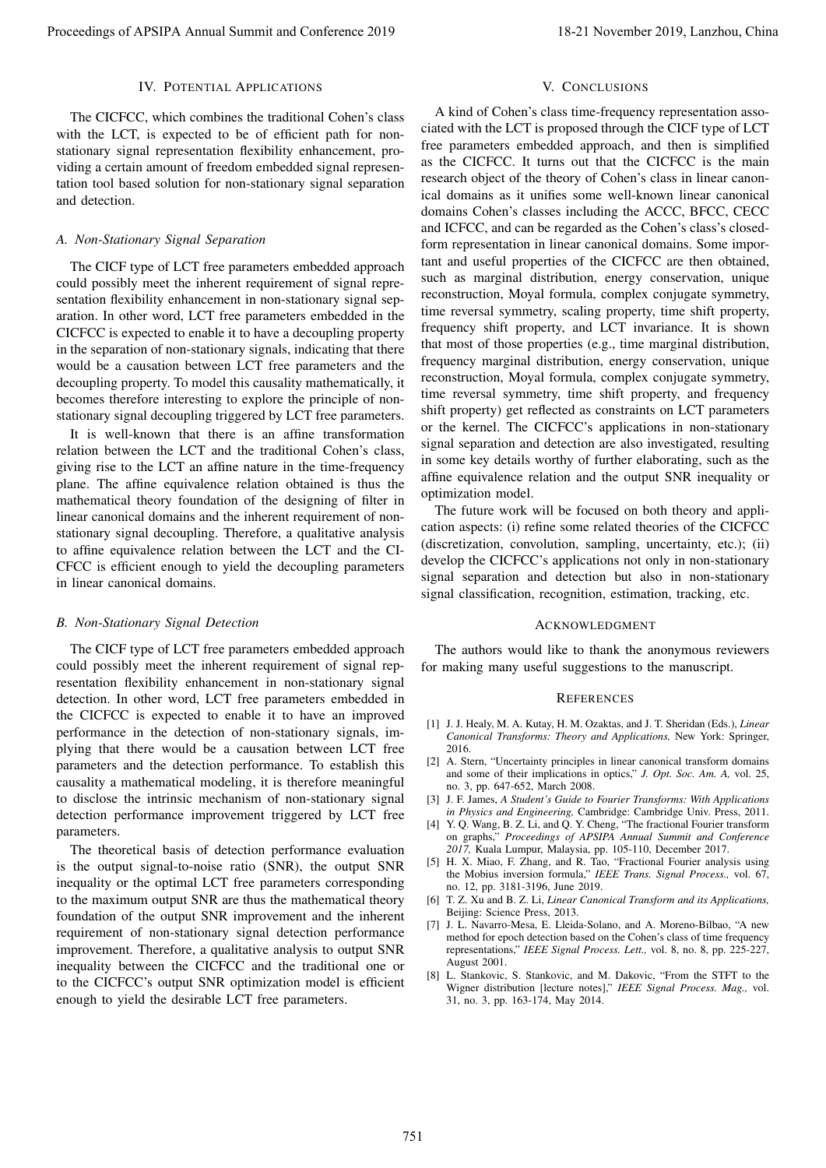## IV. POTENTIAL APPLICATIONS

The CICFCC, which combines the traditional Cohen's class with the LCT, is expected to be of efficient path for nonstationary signal representation flexibility enhancement, providing a certain amount of freedom embedded signal representation tool based solution for non-stationary signal separation and detection.

## *A. Non-Stationary Signal Separation*

The CICF type of LCT free parameters embedded approach could possibly meet the inherent requirement of signal representation flexibility enhancement in non-stationary signal separation. In other word, LCT free parameters embedded in the CICFCC is expected to enable it to have a decoupling property in the separation of non-stationary signals, indicating that there would be a causation between LCT free parameters and the decoupling property. To model this causality mathematically, it becomes therefore interesting to explore the principle of nonstationary signal decoupling triggered by LCT free parameters.

It is well-known that there is an affine transformation relation between the LCT and the traditional Cohen's class, giving rise to the LCT an affine nature in the time-frequency plane. The affine equivalence relation obtained is thus the mathematical theory foundation of the designing of filter in linear canonical domains and the inherent requirement of nonstationary signal decoupling. Therefore, a qualitative analysis to affine equivalence relation between the LCT and the CI-CFCC is efficient enough to yield the decoupling parameters in linear canonical domains.

## *B. Non-Stationary Signal Detection*

The CICF type of LCT free parameters embedded approach could possibly meet the inherent requirement of signal representation flexibility enhancement in non-stationary signal detection. In other word, LCT free parameters embedded in the CICFCC is expected to enable it to have an improved performance in the detection of non-stationary signals, implying that there would be a causation between LCT free parameters and the detection performance. To establish this causality a mathematical modeling, it is therefore meaningful to disclose the intrinsic mechanism of non-stationary signal detection performance improvement triggered by LCT free parameters.

The theoretical basis of detection performance evaluation is the output signal-to-noise ratio (SNR), the output SNR inequality or the optimal LCT free parameters corresponding to the maximum output SNR are thus the mathematical theory foundation of the output SNR improvement and the inherent requirement of non-stationary signal detection performance improvement. Therefore, a qualitative analysis to output SNR inequality between the CICFCC and the traditional one or to the CICFCC's output SNR optimization model is efficient enough to yield the desirable LCT free parameters.

### V. CONCLUSIONS

A kind of Cohen's class time-frequency representation associated with the LCT is proposed through the CICF type of LCT free parameters embedded approach, and then is simplified as the CICFCC. It turns out that the CICFCC is the main research object of the theory of Cohen's class in linear canonical domains as it unifies some well-known linear canonical domains Cohen's classes including the ACCC, BFCC, CECC and ICFCC, and can be regarded as the Cohen's class's closedform representation in linear canonical domains. Some important and useful properties of the CICFCC are then obtained, such as marginal distribution, energy conservation, unique reconstruction, Moyal formula, complex conjugate symmetry, time reversal symmetry, scaling property, time shift property, frequency shift property, and LCT invariance. It is shown that most of those properties (e.g., time marginal distribution, frequency marginal distribution, energy conservation, unique reconstruction, Moyal formula, complex conjugate symmetry, time reversal symmetry, time shift property, and frequency shift property) get reflected as constraints on LCT parameters or the kernel. The CICFCC's applications in non-stationary signal separation and detection are also investigated, resulting in some key details worthy of further elaborating, such as the affine equivalence relation and the output SNR inequality or optimization model. Proceedings of APSIPA Annual Summit and Conference 2019<br>
The CICOC stable material of the conference 2019<br>
The CICOC stable material of the conference 2019<br>
The CICOC stable material of the conference 2019, A had CICOC st

The future work will be focused on both theory and application aspects: (i) refine some related theories of the CICFCC (discretization, convolution, sampling, uncertainty, etc.); (ii) develop the CICFCC's applications not only in non-stationary signal separation and detection but also in non-stationary signal classification, recognition, estimation, tracking, etc.

## ACKNOWLEDGMENT

The authors would like to thank the anonymous reviewers for making many useful suggestions to the manuscript.

### **REFERENCES**

- [1] J. J. Healy, M. A. Kutay, H. M. Ozaktas, and J. T. Sheridan (Eds.), *Linear Canonical Transforms: Theory and Applications,* New York: Springer, 2016.
- [2] A. Stern, "Uncertainty principles in linear canonical transform domains and some of their implications in optics," *J. Opt. Soc. Am. A,* vol. 25, no. 3, pp. 647-652, March 2008.
- [3] J. F. James, *A Student's Guide to Fourier Transforms: With Applications in Physics and Engineering,* Cambridge: Cambridge Univ. Press, 2011.
- [4] Y. Q. Wang, B. Z. Li, and Q. Y. Cheng, "The fractional Fourier transform on graphs," *Proceedings of APSIPA Annual Summit and Conference 2017,* Kuala Lumpur, Malaysia, pp. 105-110, December 2017.
- [5] H. X. Miao, F. Zhang, and R. Tao, "Fractional Fourier analysis using the Mobius inversion formula," *IEEE Trans. Signal Process.,* vol. 67, no. 12, pp. 3181-3196, June 2019.
- [6] T. Z. Xu and B. Z. Li, *Linear Canonical Transform and its Applications,* Beijing: Science Press, 2013.
- [7] J. L. Navarro-Mesa, E. Lleida-Solano, and A. Moreno-Bilbao, "A new method for epoch detection based on the Cohen's class of time frequency representations," *IEEE Signal Process. Lett.,* vol. 8, no. 8, pp. 225-227, August 2001.
- [8] L. Stankovic, S. Stankovic, and M. Dakovic, "From the STFT to the Wigner distribution [lecture notes]," *IEEE Signal Process. Mag.,* vol. 31, no. 3, pp. 163-174, May 2014.